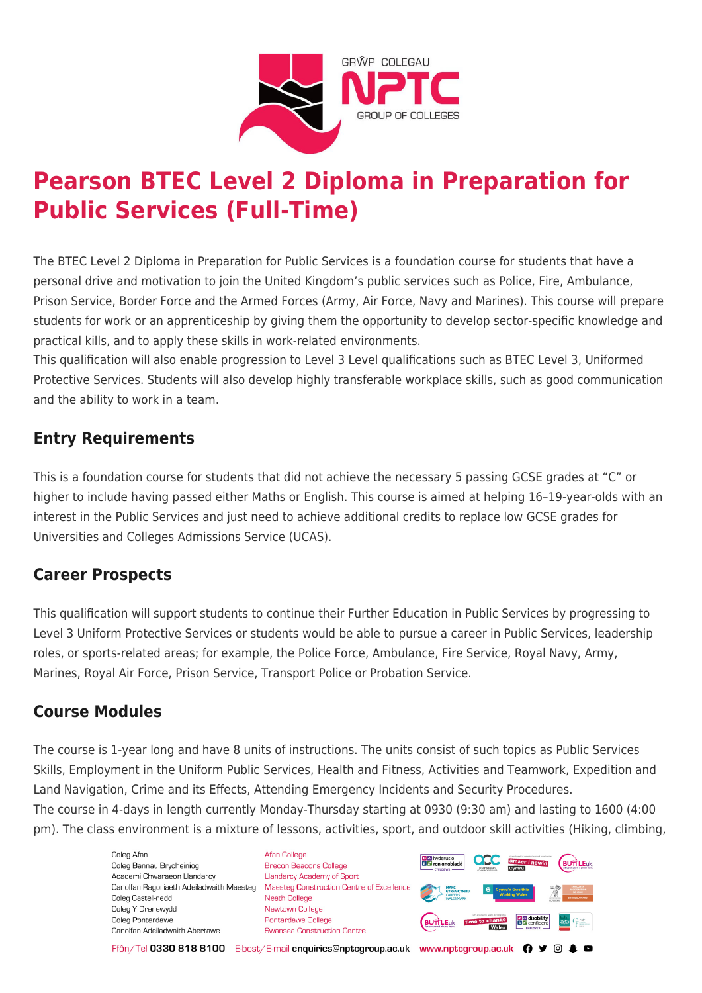

# **Pearson BTEC Level 2 Diploma in Preparation for Public Services (Full-Time)**

The BTEC Level 2 Diploma in Preparation for Public Services is a foundation course for students that have a personal drive and motivation to join the United Kingdom's public services such as Police, Fire, Ambulance, Prison Service, Border Force and the Armed Forces (Army, Air Force, Navy and Marines). This course will prepare students for work or an apprenticeship by giving them the opportunity to develop sector-specific knowledge and practical kills, and to apply these skills in work-related environments.

This qualification will also enable progression to Level 3 Level qualifications such as BTEC Level 3, Uniformed Protective Services. Students will also develop highly transferable workplace skills, such as good communication and the ability to work in a team.

# **Entry Requirements**

This is a foundation course for students that did not achieve the necessary 5 passing GCSE grades at "C" or higher to include having passed either Maths or English. This course is aimed at helping 16–19-year-olds with an interest in the Public Services and just need to achieve additional credits to replace low GCSE grades for Universities and Colleges Admissions Service (UCAS).

# **Career Prospects**

This qualification will support students to continue their Further Education in Public Services by progressing to Level 3 Uniform Protective Services or students would be able to pursue a career in Public Services, leadership roles, or sports-related areas; for example, the Police Force, Ambulance, Fire Service, Royal Navy, Army, Marines, Royal Air Force, Prison Service, Transport Police or Probation Service.

# **Course Modules**

The course is 1-year long and have 8 units of instructions. The units consist of such topics as Public Services Skills, Employment in the Uniform Public Services, Health and Fitness, Activities and Teamwork, Expedition and Land Navigation, Crime and its Effects, Attending Emergency Incidents and Security Procedures. The course in 4-days in length currently Monday-Thursday starting at 0930 (9:30 am) and lasting to 1600 (4:00 pm). The class environment is a mixture of lessons, activities, sport, and outdoor skill activities (Hiking, climbing,

> Coleg Afar Coleg Bannau Brycheiniog Academi Chwaraeon Llandarcy Coleg Castell-nedd Coleg Y Drenewydd Coleg Pontardawe Canolfan Adeiladwaith Abertawe

**Afan College** Brecon Beacons College **Llandarcy Academy of Sport** Canolfan Ragoriaeth Adeiladwaith Maesteg Maesteg Construction Centre of Excellence Neath College Newtown College **Pontardawe College** Swansea Construction Centre



Ffôn/Tel 0330 818 8100 E-bost/E-mail enquiries@nptcgroup.ac.uk www.nptcgroup.ac.uk ? • © \$